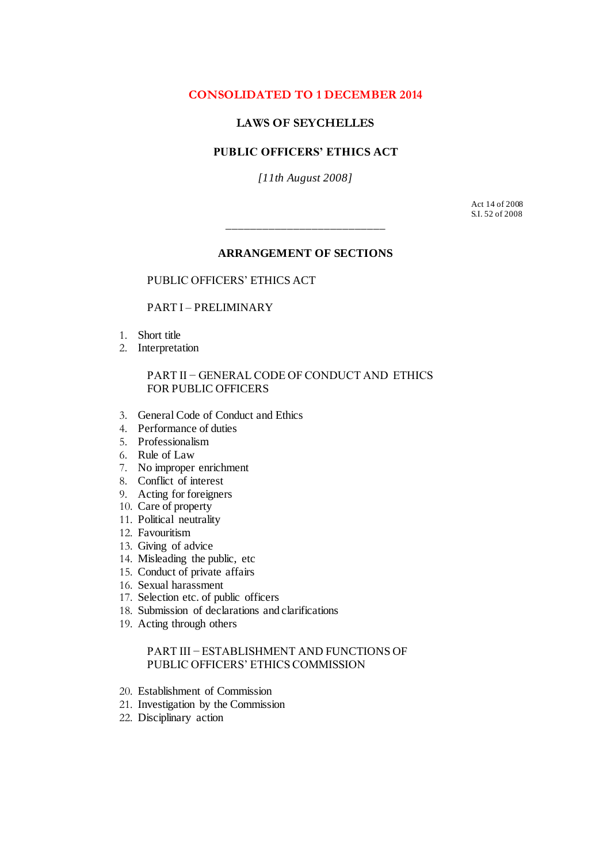# <span id="page-0-0"></span>**CONSOLIDATED TO 1 DECEMBER 2014**

# **LAWS OF SEYCHELLES**

# **PUBLIC OFFICERS' ETHICS ACT**

*[11th August 2008]*

Act 14 of 2008 S.I. 52 of 2008

#### **ARRANGEMENT OF SECTIONS**

\_\_\_\_\_\_\_\_\_\_\_\_\_\_\_\_\_\_\_\_\_\_\_\_\_\_

#### [PUBLIC OFFICERS'](#page-0-0) ETHICS ACT

#### PART I – [PRELIMINARY](#page-1-0)

- 1. [Short title](#page-1-1)
- 2. [Interpretation](#page-1-2)

#### [PART II − GENERAL CODE OF CONDUCT AND ETHICS](#page-2-0)  [FOR PUBLIC OFFICERS](#page-2-0)

- 3. [General Code of Conduct and Ethics](#page-2-1)
- 4. [Performance of duties](#page-2-2)
- 5. [Professionalism](#page-2-3)
- 6. [Rule of Law](#page-3-0)
- 7. [No improper enrichment](#page-3-1)
- 8. [Conflict of interest](#page-3-2)
- 9. [Acting for foreigners](#page-3-3)
- 10. [Care of property](#page-4-0)
- 11. [Political neutrality](#page-4-1)
- 12. [Favouritism](#page-4-2)
- 13. [Giving of advice](#page-4-3)
- 14. [Misleading the public, etc](#page-4-4)
- 15. [Conduct of private affairs](#page-4-5)
- 16. [Sexual harassment](#page-4-6)
- 17. [Selection etc. of public officers](#page-4-7)
- 18. [Submission of declarations and clarifications](#page-5-0)
- 19. [Acting through others](#page-5-1)

#### [PART III − ESTABLISHMENT](#page-5-2) AND FUNCTIONS OF [PUBLIC OFFICERS' ETHICS COMMISSION](#page-5-2)

- 20. [Establishment of Commission](#page-5-3)
- 21. [Investigation by the Commission](#page-6-0)
- 22. [Disciplinary action](#page-6-1)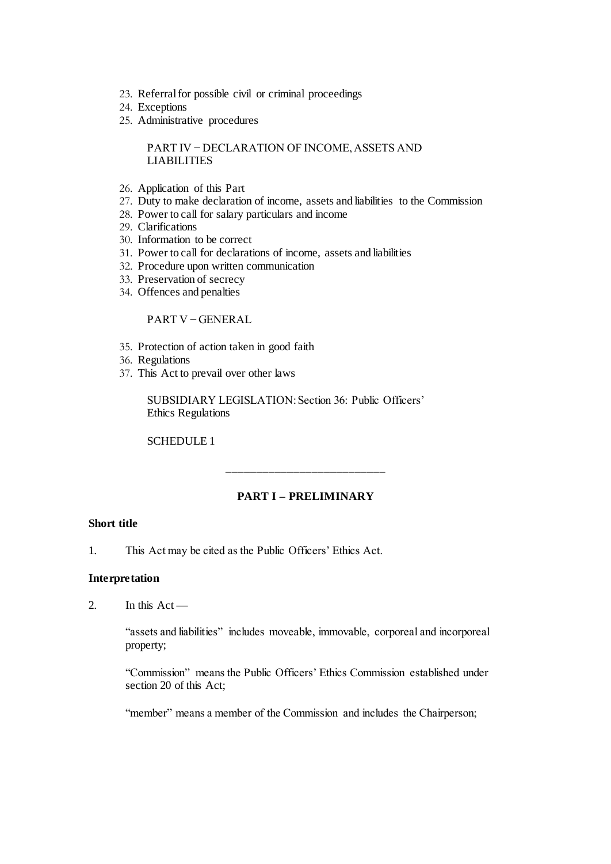- 23. [Referral for possible civil or criminal proceedings](#page-7-0)
- 24. [Exceptions](#page-7-1)
- 25. [Administrative procedures](#page-7-2)

#### [PART IV − DECLARATION OF INCOME, ASSETS AND](#page-7-3)  [LIABILITIES](#page-7-3)

- 26. [Application of this Part](#page-7-4)
- 27. [Duty to make declaration of income, assets and liabilities to the Commission](#page-7-5)
- 28. [Power to call for salary particulars and income](#page-8-0)
- 29. [Clarifications](#page-8-1)
- 30. [Information to be correct](#page-8-2)
- 31. [Power to call for declarations of income, assets and liabilities](#page-8-3)
- 32. [Procedure upon written communication](#page-8-4)
- 33. [Preservation of secrecy](#page-9-0)
- 34. [Offences and penalties](#page-10-0)

### PART V – GENERAL

- 35. [Protection of action taken in good faith](#page-11-1)
- 36. [Regulations](#page-11-2)
- 37. [This Act to prevail over other laws](#page-11-3)

[SUBSIDIARY LEGISLATION: Section 36: Public Officers'](#page-11-4)  [Ethics Regulations](#page-11-4)

[SCHEDULE 1](#page-13-0)

# **PART I – PRELIMINARY**

\_\_\_\_\_\_\_\_\_\_\_\_\_\_\_\_\_\_\_\_\_\_\_\_\_\_

#### <span id="page-1-1"></span><span id="page-1-0"></span>**Short title**

1. This Act may be cited as the Public Officers' Ethics Act.

#### <span id="page-1-2"></span>**Interpretation**

2. In this Act —

"assets and liabilities" includes moveable, immovable, corporeal and incorporeal property;

"Commission" means the Public Officers' Ethics Commission established under section 20 of this Act;

"member" means a member of the Commission and includes the Chairperson;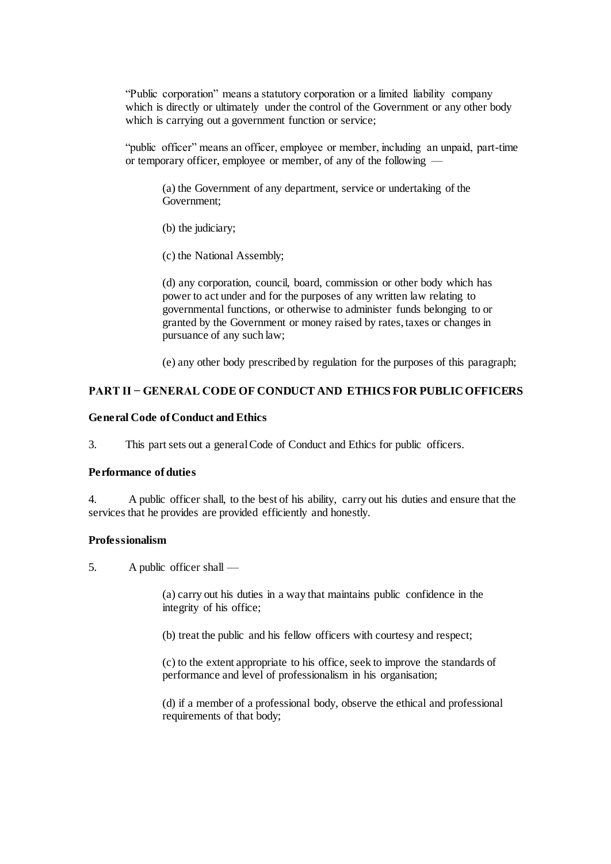"Public corporation" means a statutory corporation or a limited liability company which is directly or ultimately under the control of the Government or any other body which is carrying out a government function or service;

"public officer" means an officer, employee or member, including an unpaid, part-time or temporary officer, employee or member, of any of the following —

(a) the Government of any department, service or undertaking of the Government;

(b) the judiciary;

(c) the National Assembly;

(d) any corporation, council, board, commission or other body which has power to act under and for the purposes of any written law relating to governmental functions, or otherwise to administer funds belonging to or granted by the Government or money raised by rates, taxes or changes in pursuance of any such law;

(e) any other body prescribed by regulation for the purposes of this paragraph;

### <span id="page-2-0"></span>**PART II − GENERAL CODE OF CONDUCT AND ETHICS FOR PUBLIC OFFICERS**

#### <span id="page-2-1"></span>**General Code of Conduct and Ethics**

3. This part sets out a general Code of Conduct and Ethics for public officers.

#### <span id="page-2-2"></span>**Performance of duties**

4. A public officer shall, to the best of his ability, carry out his duties and ensure that the services that he provides are provided efficiently and honestly.

#### <span id="page-2-3"></span>**Professionalism**

5. A public officer shall —

(a) carry out his duties in a way that maintains public confidence in the integrity of his office;

(b) treat the public and his fellow officers with courtesy and respect;

(c) to the extent appropriate to his office, seek to improve the standards of performance and level of professionalism in his organisation;

(d) if a member of a professional body, observe the ethical and professional requirements of that body;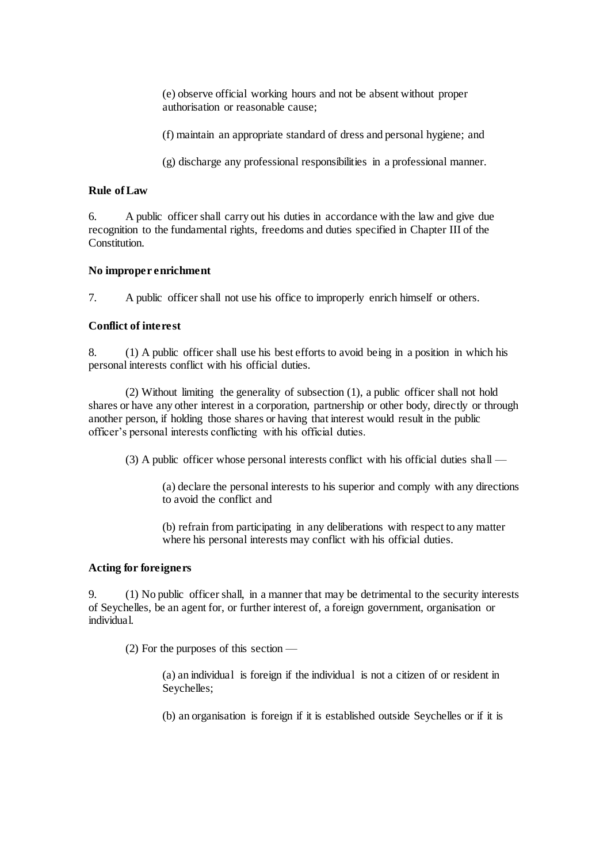(e) observe official working hours and not be absent without proper authorisation or reasonable cause;

(f) maintain an appropriate standard of dress and personal hygiene; and

(g) discharge any professional responsibilities in a professional manner.

#### <span id="page-3-0"></span>**Rule of Law**

6. A public officer shall carry out his duties in accordance with the law and give due recognition to the fundamental rights, freedoms and duties specified in Chapter III of the **Constitution** 

### <span id="page-3-1"></span>**No improper enrichment**

7. A public officer shall not use his office to improperly enrich himself or others.

### <span id="page-3-2"></span>**Conflict of interest**

8. (1) A public officer shall use his best efforts to avoid being in a position in which his personal interests conflict with his official duties.

(2) Without limiting the generality of subsection (1), a public officer shall not hold shares or have any other interest in a corporation, partnership or other body, directly or through another person, if holding those shares or having that interest would result in the public officer's personal interests conflicting with his official duties.

(3) A public officer whose personal interests conflict with his official duties shall —

(a) declare the personal interests to his superior and comply with any directions to avoid the conflict and

(b) refrain from participating in any deliberations with respect to any matter where his personal interests may conflict with his official duties.

# <span id="page-3-3"></span>**Acting for foreigners**

9. (1) No public officer shall, in a manner that may be detrimental to the security interests of Seychelles, be an agent for, or further interest of, a foreign government, organisation or individual.

(2) For the purposes of this section —

(a) an individual is foreign if the individual is not a citizen of or resident in Seychelles;

(b) an organisation is foreign if it is established outside Seychelles or if it is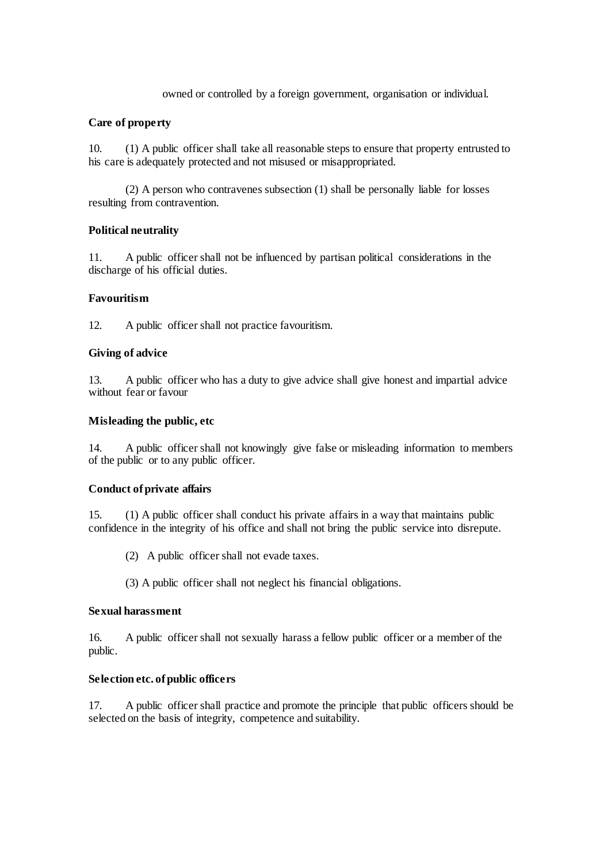#### owned or controlled by a foreign government, organisation or individual.

#### <span id="page-4-0"></span>**Care of property**

10. (1) A public officer shall take all reasonable steps to ensure that property entrusted to his care is adequately protected and not misused or misappropriated.

(2) A person who contravenes subsection (1) shall be personally liable for losses resulting from contravention.

#### <span id="page-4-1"></span>**Political neutrality**

11. A public officer shall not be influenced by partisan political considerations in the discharge of his official duties.

#### <span id="page-4-2"></span>**Favouritism**

12. A public officer shall not practice favouritism.

#### <span id="page-4-3"></span>**Giving of advice**

13. A public officer who has a duty to give advice shall give honest and impartial advice without fear or favour

### <span id="page-4-4"></span>**Misleading the public, etc**

14. A public officer shall not knowingly give false or misleading information to members of the public or to any public officer.

#### <span id="page-4-5"></span>**Conduct of private affairs**

15. (1) A public officer shall conduct his private affairs in a way that maintains public confidence in the integrity of his office and shall not bring the public service into disrepute.

(2) A public officer shall not evade taxes.

(3) A public officer shall not neglect his financial obligations.

#### <span id="page-4-6"></span>**Sexual harassment**

16. A public officer shall not sexually harass a fellow public officer or a member of the public.

#### <span id="page-4-7"></span>**Selection etc. of public officers**

17. A public officer shall practice and promote the principle that public officers should be selected on the basis of integrity, competence and suitability.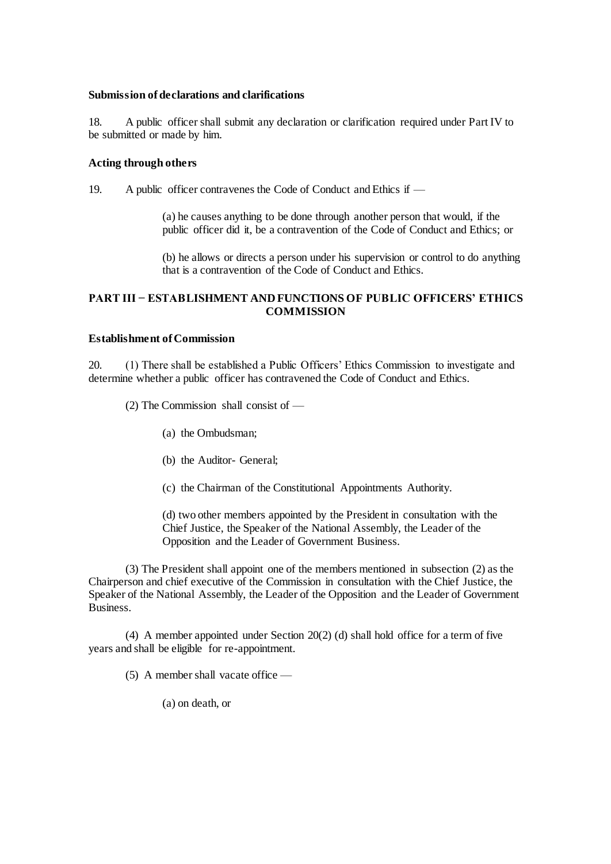#### <span id="page-5-0"></span>**Submission of declarations and clarifications**

18. A public officer shall submit any declaration or clarification required under Part IV to be submitted or made by him.

#### <span id="page-5-1"></span>**Acting through others**

19. A public officer contravenes the Code of Conduct and Ethics if —

(a) he causes anything to be done through another person that would, if the public officer did it, be a contravention of the Code of Conduct and Ethics; or

(b) he allows or directs a person under his supervision or control to do anything that is a contravention of the Code of Conduct and Ethics.

# <span id="page-5-2"></span>**PART III − ESTABLISHMENT AND FUNCTIONS OF PUBLIC OFFICERS' ETHICS COMMISSION**

# <span id="page-5-3"></span>**Establishment of Commission**

20. (1) There shall be established a Public Officers' Ethics Commission to investigate and determine whether a public officer has contravened the Code of Conduct and Ethics.

(2) The Commission shall consist of —

- (a) the Ombudsman;
- (b) the Auditor- General;
- (c) the Chairman of the Constitutional Appointments Authority.

(d) two other members appointed by the President in consultation with the Chief Justice, the Speaker of the National Assembly, the Leader of the Opposition and the Leader of Government Business.

(3) The President shall appoint one of the members mentioned in subsection (2) as the Chairperson and chief executive of the Commission in consultation with the Chief Justice, the Speaker of the National Assembly, the Leader of the Opposition and the Leader of Government Business.

(4) A member appointed under Section 20(2) (d) shall hold office for a term of five years and shall be eligible for re-appointment.

(5) A member shall vacate office —

(a) on death, or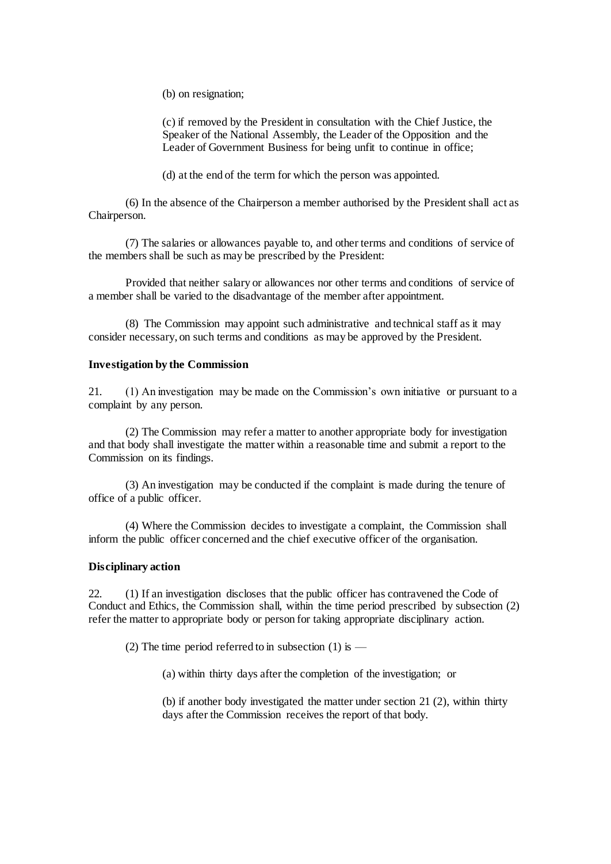(b) on resignation;

(c) if removed by the President in consultation with the Chief Justice, the Speaker of the National Assembly, the Leader of the Opposition and the Leader of Government Business for being unfit to continue in office;

(d) at the end of the term for which the person was appointed.

(6) In the absence of the Chairperson a member authorised by the President shall act as Chairperson.

(7) The salaries or allowances payable to, and other terms and conditions of service of the members shall be such as may be prescribed by the President:

Provided that neither salary or allowances nor other terms and conditions of service of a member shall be varied to the disadvantage of the member after appointment.

(8) The Commission may appoint such administrative and technical staff as it may consider necessary, on such terms and conditions as may be approved by the President.

#### <span id="page-6-0"></span>**Investigation by the Commission**

21. (1) An investigation may be made on the Commission's own initiative or pursuant to a complaint by any person.

(2) The Commission may refer a matter to another appropriate body for investigation and that body shall investigate the matter within a reasonable time and submit a report to the Commission on its findings.

(3) An investigation may be conducted if the complaint is made during the tenure of office of a public officer.

(4) Where the Commission decides to investigate a complaint, the Commission shall inform the public officer concerned and the chief executive officer of the organisation.

#### <span id="page-6-1"></span>**Disciplinary action**

22. (1) If an investigation discloses that the public officer has contravened the Code of Conduct and Ethics, the Commission shall, within the time period prescribed by subsection (2) refer the matter to appropriate body or person for taking appropriate disciplinary action.

(2) The time period referred to in subsection (1) is —

(a) within thirty days after the completion of the investigation; or

(b) if another body investigated the matter under section 21 (2), within thirty days after the Commission receives the report of that body.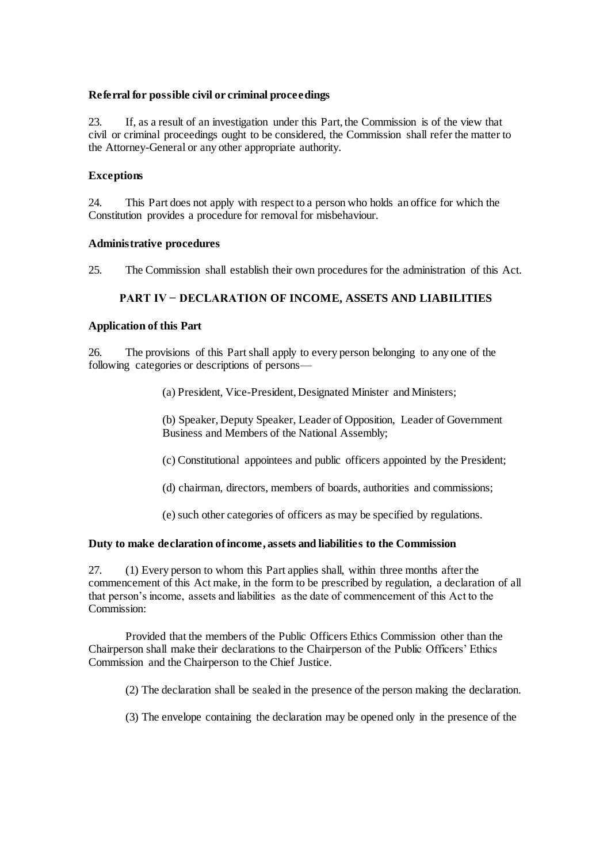#### <span id="page-7-0"></span>**Referral for possible civil or criminal proceedings**

23. If, as a result of an investigation under this Part, the Commission is of the view that civil or criminal proceedings ought to be considered, the Commission shall refer the matter to the Attorney-General or any other appropriate authority.

### <span id="page-7-1"></span>**Exceptions**

24. This Part does not apply with respect to a person who holds an office for which the Constitution provides a procedure for removal for misbehaviour.

#### <span id="page-7-2"></span>**Administrative procedures**

25. The Commission shall establish their own procedures for the administration of this Act.

#### **PART IV − DECLARATION OF INCOME, ASSETS AND LIABILITIES**

#### <span id="page-7-4"></span><span id="page-7-3"></span>**Application of this Part**

26. The provisions of this Part shall apply to every person belonging to any one of the following categories or descriptions of persons—

(a) President, Vice-President, Designated Minister and Ministers;

(b) Speaker, Deputy Speaker, Leader of Opposition, Leader of Government Business and Members of the National Assembly;

(c) Constitutional appointees and public officers appointed by the President;

(d) chairman, directors, members of boards, authorities and commissions;

(e) such other categories of officers as may be specified by regulations.

#### <span id="page-7-5"></span>**Duty to make declaration of income, assets and liabilities to the Commission**

27. (1) Every person to whom this Part applies shall, within three months after the commencement of this Act make, in the form to be prescribed by regulation, a declaration of all that person's income, assets and liabilities as the date of commencement of this Act to the Commission:

Provided that the members of the Public Officers Ethics Commission other than the Chairperson shall make their declarations to the Chairperson of the Public Officers' Ethics Commission and the Chairperson to the Chief Justice.

(2) The declaration shall be sealed in the presence of the person making the declaration.

(3) The envelope containing the declaration may be opened only in the presence of the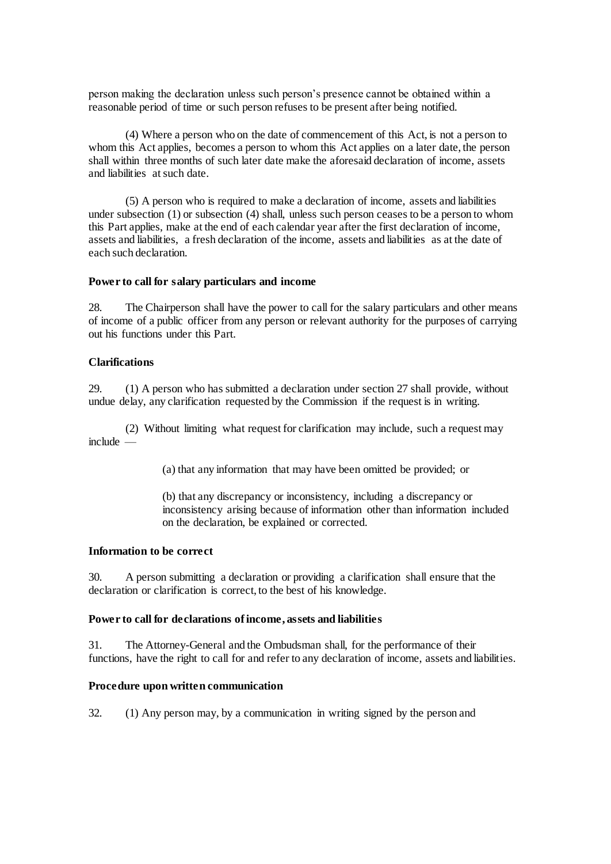person making the declaration unless such person's presence cannot be obtained within a reasonable period of time or such person refuses to be present after being notified.

(4) Where a person who on the date of commencement of this Act, is not a person to whom this Act applies, becomes a person to whom this Act applies on a later date, the person shall within three months of such later date make the aforesaid declaration of income, assets and liabilities at such date.

(5) A person who is required to make a declaration of income, assets and liabilities under subsection (1) or subsection (4) shall, unless such person ceases to be a person to whom this Part applies, make at the end of each calendar year after the first declaration of income, assets and liabilities, a fresh declaration of the income, assets and liabilities as at the date of each such declaration.

#### <span id="page-8-0"></span>**Power to call for salary particulars and income**

28. The Chairperson shall have the power to call for the salary particulars and other means of income of a public officer from any person or relevant authority for the purposes of carrying out his functions under this Part.

#### <span id="page-8-1"></span>**Clarifications**

29. (1) A person who has submitted a declaration under section 27 shall provide, without undue delay, any clarification requested by the Commission if the request is in writing.

(2) Without limiting what request for clarification may include, such a request may include —

(a) that any information that may have been omitted be provided; or

(b) that any discrepancy or inconsistency, including a discrepancy or inconsistency arising because of information other than information included on the declaration, be explained or corrected.

#### <span id="page-8-2"></span>**Information to be correct**

30. A person submitting a declaration or providing a clarification shall ensure that the declaration or clarification is correct, to the best of his knowledge.

#### <span id="page-8-3"></span>**Power to call for declarations of income, assets and liabilities**

31. The Attorney-General and the Ombudsman shall, for the performance of their functions, have the right to call for and refer to any declaration of income, assets and liabilities.

#### <span id="page-8-4"></span>**Procedure upon written communication**

32. (1) Any person may, by a communication in writing signed by the person and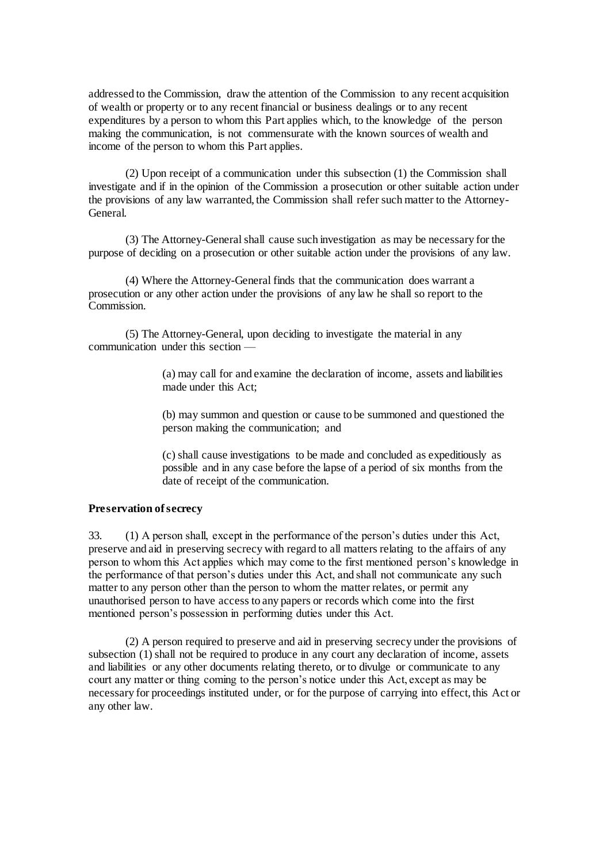addressed to the Commission, draw the attention of the Commission to any recent acquisition of wealth or property or to any recent financial or business dealings or to any recent expenditures by a person to whom this Part applies which, to the knowledge of the person making the communication, is not commensurate with the known sources of wealth and income of the person to whom this Part applies.

(2) Upon receipt of a communication under this subsection (1) the Commission shall investigate and if in the opinion of the Commission a prosecution or other suitable action under the provisions of any law warranted, the Commission shall refer such matter to the Attorney-General.

(3) The Attorney-General shall cause such investigation as may be necessary for the purpose of deciding on a prosecution or other suitable action under the provisions of any law.

(4) Where the Attorney-General finds that the communication does warrant a prosecution or any other action under the provisions of any law he shall so report to the Commission.

(5) The Attorney-General, upon deciding to investigate the material in any communication under this section —

> (a) may call for and examine the declaration of income, assets and liabilities made under this Act;

> (b) may summon and question or cause to be summoned and questioned the person making the communication; and

> (c) shall cause investigations to be made and concluded as expeditiously as possible and in any case before the lapse of a period of six months from the date of receipt of the communication.

# <span id="page-9-0"></span>**Preservation of secrecy**

33. (1) A person shall, except in the performance of the person's duties under this Act, preserve and aid in preserving secrecy with regard to all matters relating to the affairs of any person to whom this Act applies which may come to the first mentioned person's knowledge in the performance of that person's duties under this Act, and shall not communicate any such matter to any person other than the person to whom the matter relates, or permit any unauthorised person to have access to any papers or records which come into the first mentioned person's possession in performing duties under this Act.

(2) A person required to preserve and aid in preserving secrecy under the provisions of subsection (1) shall not be required to produce in any court any declaration of income, assets and liabilities or any other documents relating thereto, or to divulge or communicate to any court any matter or thing coming to the person's notice under this Act, except as may be necessary for proceedings instituted under, or for the purpose of carrying into effect, this Act or any other law.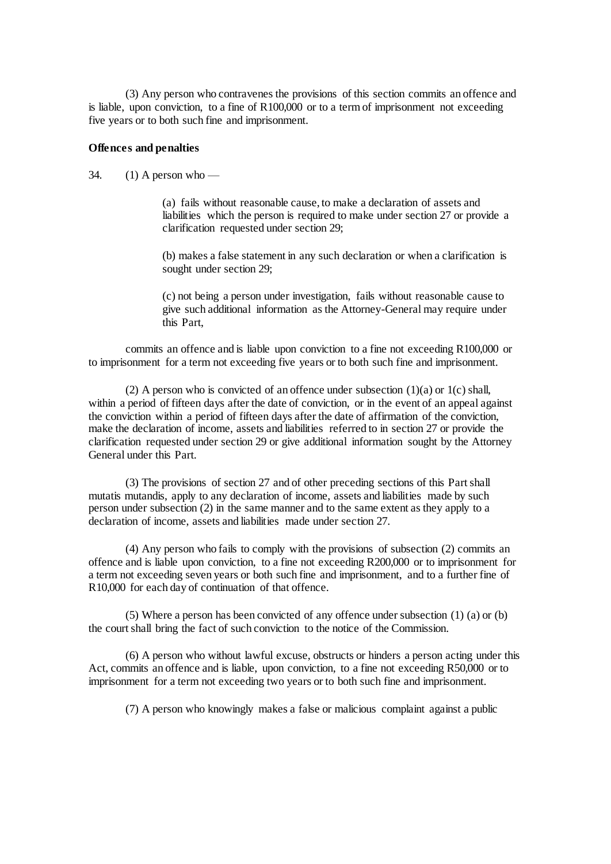(3) Any person who contravenes the provisions of this section commits an offence and is liable, upon conviction, to a fine of R100,000 or to a term of imprisonment not exceeding five years or to both such fine and imprisonment.

#### <span id="page-10-0"></span>**Offences and penalties**

34.  $(1)$  A person who —

(a) fails without reasonable cause, to make a declaration of assets and liabilities which the person is required to make under section 27 or provide a clarification requested under section 29;

(b) makes a false statement in any such declaration or when a clarification is sought under section 29;

(c) not being a person under investigation, fails without reasonable cause to give such additional information as the Attorney-General may require under this Part,

commits an offence and is liable upon conviction to a fine not exceeding R100,000 or to imprisonment for a term not exceeding five years or to both such fine and imprisonment.

(2) A person who is convicted of an offence under subsection  $(1)(a)$  or  $1(c)$  shall, within a period of fifteen days after the date of conviction, or in the event of an appeal against the conviction within a period of fifteen days after the date of affirmation of the conviction, make the declaration of income, assets and liabilities referred to in section 27 or provide the clarification requested under section 29 or give additional information sought by the Attorney General under this Part.

(3) The provisions of section 27 and of other preceding sections of this Part shall mutatis mutandis, apply to any declaration of income, assets and liabilities made by such person under subsection (2) in the same manner and to the same extent as they apply to a declaration of income, assets and liabilities made under section 27.

(4) Any person who fails to comply with the provisions of subsection (2) commits an offence and is liable upon conviction, to a fine not exceeding R200,000 or to imprisonment for a term not exceeding seven years or both such fine and imprisonment, and to a further fine of R10,000 for each day of continuation of that offence.

(5) Where a person has been convicted of any offence under subsection (1) (a) or (b) the court shall bring the fact of such conviction to the notice of the Commission.

(6) A person who without lawful excuse, obstructs or hinders a person acting under this Act, commits an offence and is liable, upon conviction, to a fine not exceeding R50,000 or to imprisonment for a term not exceeding two years or to both such fine and imprisonment.

(7) A person who knowingly makes a false or malicious complaint against a public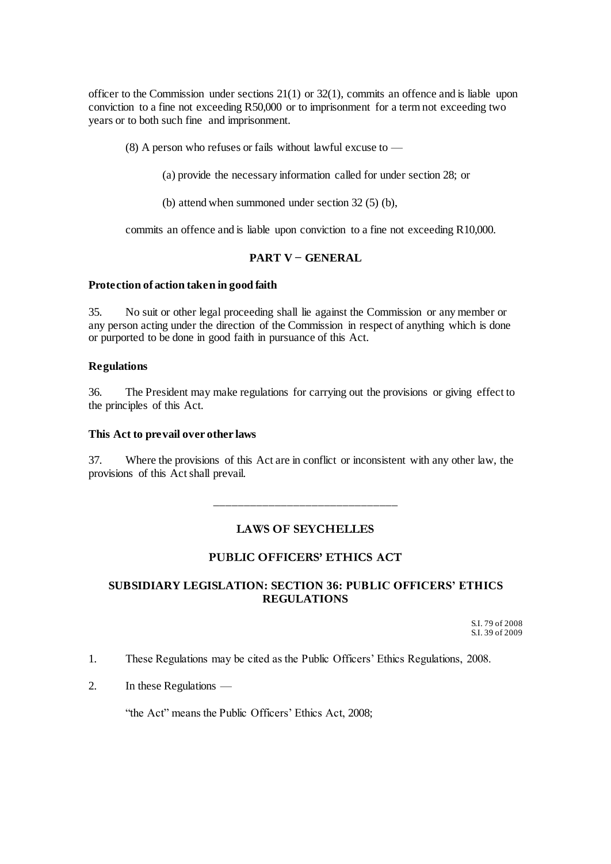officer to the Commission under sections 21(1) or 32(1), commits an offence and is liable upon conviction to a fine not exceeding R50,000 or to imprisonment for a term not exceeding two years or to both such fine and imprisonment.

 $(8)$  A person who refuses or fails without lawful excuse to —

(a) provide the necessary information called for under section 28; or

(b) attend when summoned under section 32 (5) (b),

commits an offence and is liable upon conviction to a fine not exceeding R10,000.

### **PART V − GENERAL**

#### <span id="page-11-1"></span><span id="page-11-0"></span>**Protection of action taken in good faith**

35. No suit or other legal proceeding shall lie against the Commission or any member or any person acting under the direction of the Commission in respect of anything which is done or purported to be done in good faith in pursuance of this Act.

### <span id="page-11-2"></span>**Regulations**

36. The President may make regulations for carrying out the provisions or giving effect to the principles of this Act.

#### <span id="page-11-3"></span>**This Act to prevail over other laws**

37. Where the provisions of this Act are in conflict or inconsistent with any other law, the provisions of this Act shall prevail.

> \_\_\_\_\_\_\_\_\_\_\_\_\_\_\_\_\_\_\_\_\_\_\_\_\_\_\_\_\_\_ **LAWS OF SEYCHELLES**

# **PUBLIC OFFICERS' ETHICS ACT**

# <span id="page-11-4"></span>**SUBSIDIARY LEGISLATION: SECTION 36: PUBLIC OFFICERS' ETHICS REGULATIONS**

S.I. 79 of 2008 S.I. 39 of 2009

1. These Regulations may be cited as the Public Officers' Ethics Regulations, 2008.

2. In these Regulations —

"the Act" means the Public Officers' Ethics Act, 2008;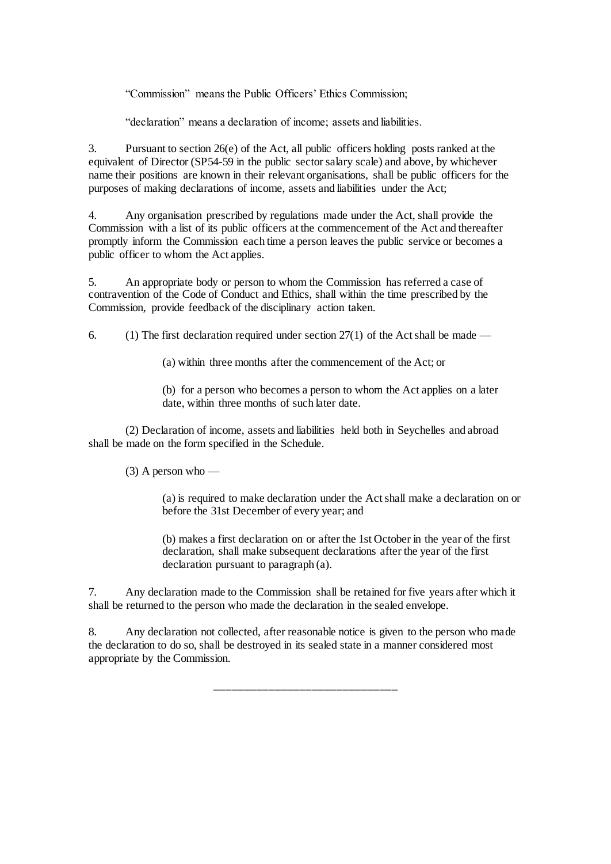"Commission" means the Public Officers' Ethics Commission;

"declaration" means a declaration of income; assets and liabilities.

3. Pursuant to section 26(e) of the Act, all public officers holding posts ranked at the equivalent of Director (SP54-59 in the public sector salary scale) and above, by whichever name their positions are known in their relevant organisations, shall be public officers for the purposes of making declarations of income, assets and liabilities under the Act;

4. Any organisation prescribed by regulations made under the Act, shall provide the Commission with a list of its public officers at the commencement of the Act and thereafter promptly inform the Commission each time a person leaves the public service or becomes a public officer to whom the Act applies.

5. An appropriate body or person to whom the Commission has referred a case of contravention of the Code of Conduct and Ethics, shall within the time prescribed by the Commission, provide feedback of the disciplinary action taken.

6. (1) The first declaration required under section  $27(1)$  of the Act shall be made —

(a) within three months after the commencement of the Act; or

(b) for a person who becomes a person to whom the Act applies on a later date, within three months of such later date.

(2) Declaration of income, assets and liabilities held both in Seychelles and abroad shall be made on the form specified in the Schedule.

 $(3)$  A person who —

(a) is required to make declaration under the Act shall make a declaration on or before the 31st December of every year; and

(b) makes a first declaration on or after the 1st October in the year of the first declaration, shall make subsequent declarations after the year of the first declaration pursuant to paragraph (a).

7. Any declaration made to the Commission shall be retained for five years after which it shall be returned to the person who made the declaration in the sealed envelope.

8. Any declaration not collected, after reasonable notice is given to the person who made the declaration to do so, shall be destroyed in its sealed state in a manner considered most appropriate by the Commission.

\_\_\_\_\_\_\_\_\_\_\_\_\_\_\_\_\_\_\_\_\_\_\_\_\_\_\_\_\_\_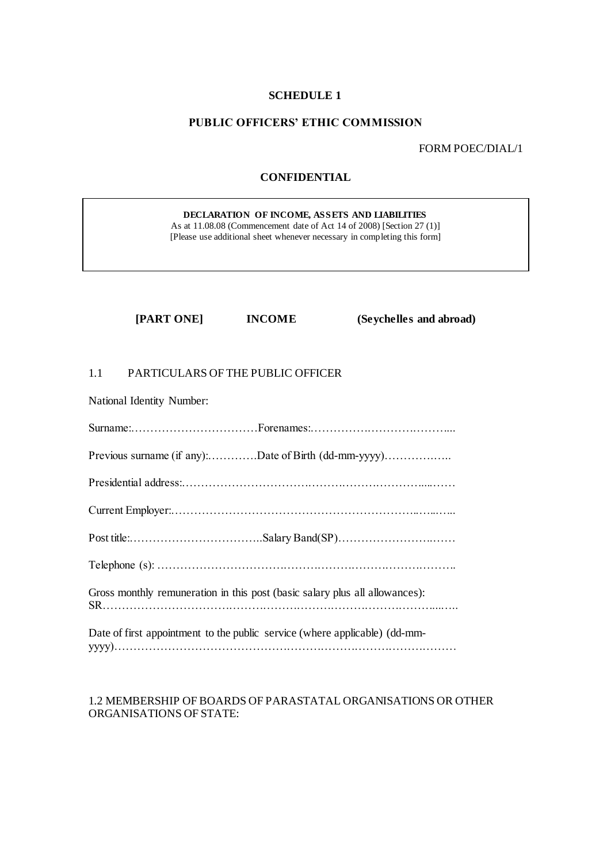#### **SCHEDULE 1**

#### <span id="page-13-0"></span>**PUBLIC OFFICERS' ETHIC COMMISSION**

FORM POEC/DIAL/1

# **CONFIDENTIAL**

**DECLARATION OF INCOME, ASSETS AND LIABILITIES** As at 11.08.08 (Commencement date of Act 14 of 2008) [Section 27 (1)] [Please use additional sheet whenever necessary in completing this form]

**[PART ONE] INCOME (Seychelles and abroad)**

### 1.1 PARTICULARS OF THE PUBLIC OFFICER

National Identity Number:

| Previous surname (if any):Date of Birth (dd-mm-yyyy)                        |
|-----------------------------------------------------------------------------|
|                                                                             |
|                                                                             |
|                                                                             |
|                                                                             |
| Gross monthly remuneration in this post (basic salary plus all allowances): |
| Date of first appointment to the public service (where applicable) (dd-mm-  |

#### 1.2 MEMBERSHIP OF BOARDS OF PARASTATAL ORGANISATIONS OR OTHER ORGANISATIONS OF STATE: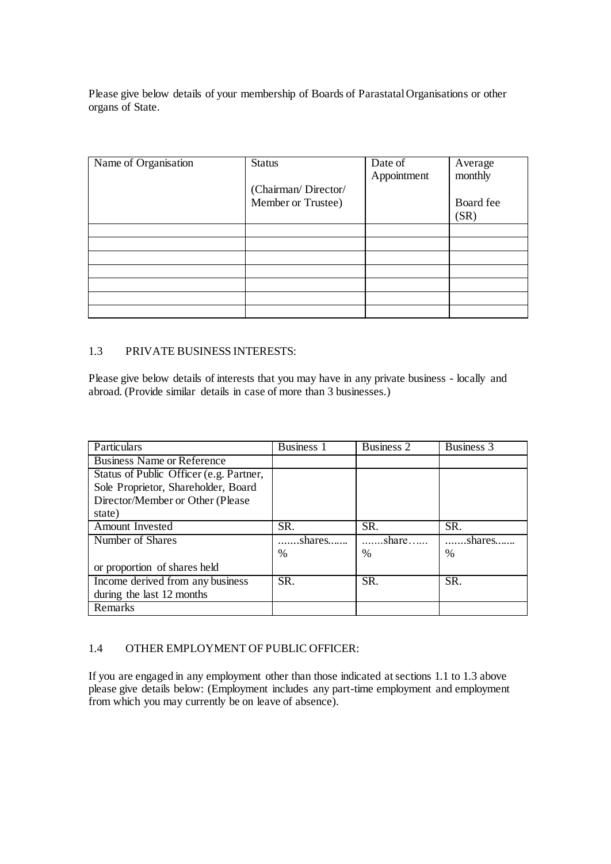Please give below details of your membership of Boards of Parastatal Organisations or other organs of State.

| Name of Organisation | <b>Status</b>       | Date of     | Average   |
|----------------------|---------------------|-------------|-----------|
|                      |                     | Appointment | monthly   |
|                      | (Chairman/Director/ |             |           |
|                      | Member or Trustee)  |             | Board fee |
|                      |                     |             | (SR)      |
|                      |                     |             |           |
|                      |                     |             |           |
|                      |                     |             |           |
|                      |                     |             |           |
|                      |                     |             |           |
|                      |                     |             |           |
|                      |                     |             |           |

# 1.3 PRIVATE BUSINESS INTERESTS:

Please give below details of interests that you may have in any private business - locally and abroad. (Provide similar details in case of more than 3 businesses.)

| Particulars                             | <b>Business 1</b> | Business 2                | Business 3    |
|-----------------------------------------|-------------------|---------------------------|---------------|
| <b>Business Name or Reference</b>       |                   |                           |               |
| Status of Public Officer (e.g. Partner, |                   |                           |               |
| Sole Proprietor, Shareholder, Board     |                   |                           |               |
| Director/Member or Other (Please        |                   |                           |               |
| state)                                  |                   |                           |               |
| Amount Invested                         | SR.               | SR.                       | SR.           |
| Number of Shares                        | shares            | $\overline{\ldots}$ share | shares        |
|                                         | $\%$              | %                         | $\frac{0}{0}$ |
| or proportion of shares held            |                   |                           |               |
| Income derived from any business        | SR.               | SR.                       | SR.           |
| during the last 12 months               |                   |                           |               |
| Remarks                                 |                   |                           |               |

# 1.4 OTHER EMPLOYMENT OF PUBLIC OFFICER:

If you are engaged in any employment other than those indicated at sections 1.1 to 1.3 above please give details below: (Employment includes any part-time employment and employment from which you may currently be on leave of absence).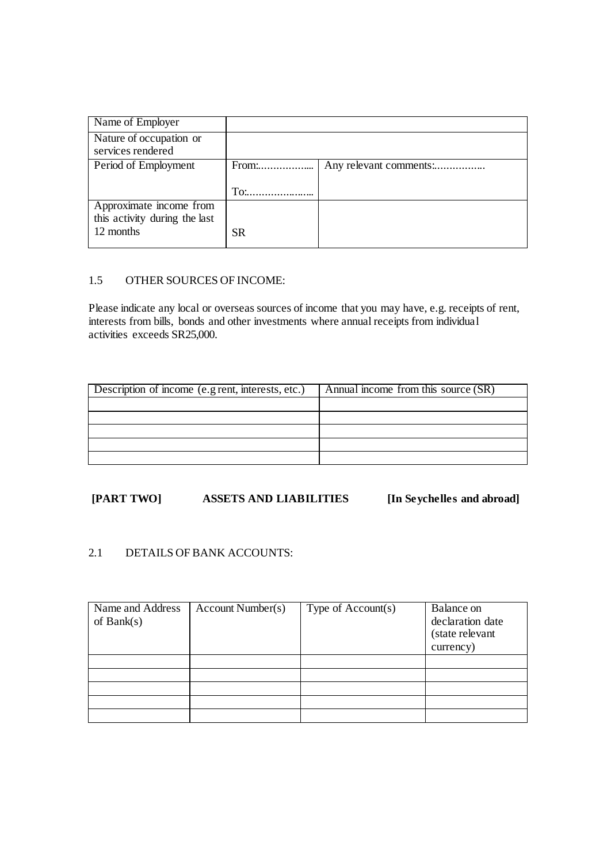| Name of Employer                             |     |                        |
|----------------------------------------------|-----|------------------------|
| Nature of occupation or<br>services rendered |     |                        |
| Period of Employment                         |     | Any relevant comments: |
|                                              | To. |                        |
| Approximate income from                      |     |                        |
| this activity during the last                |     |                        |
| 12 months                                    | SR. |                        |

### 1.5 OTHER SOURCES OF INCOME:

Please indicate any local or overseas sources of income that you may have, e.g. receipts of rent, interests from bills, bonds and other investments where annual receipts from individual activities exceeds SR25,000.

| Description of income (e.g rent, interests, etc.) | Annual income from this source (SR) |
|---------------------------------------------------|-------------------------------------|
|                                                   |                                     |
|                                                   |                                     |
|                                                   |                                     |
|                                                   |                                     |
|                                                   |                                     |

# **[PART TWO] ASSETS AND LIABILITIES [In Seychelles and abroad]**

# 2.1 DETAILS OF BANK ACCOUNTS:

| Name and Address | Account Number(s) | Type of $Account(s)$ | Balance on       |
|------------------|-------------------|----------------------|------------------|
| of Bank $(s)$    |                   |                      | declaration date |
|                  |                   |                      | (state relevant  |
|                  |                   |                      | currency)        |
|                  |                   |                      |                  |
|                  |                   |                      |                  |
|                  |                   |                      |                  |
|                  |                   |                      |                  |
|                  |                   |                      |                  |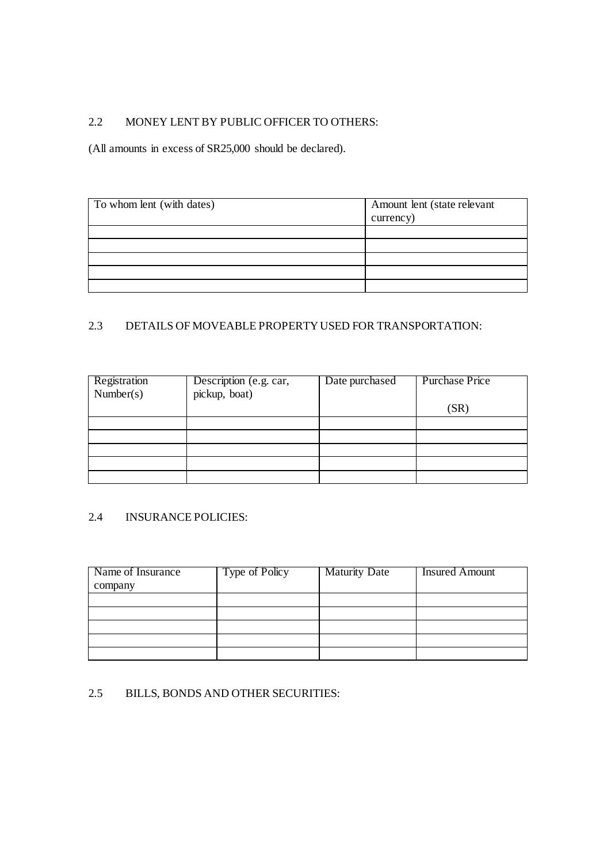# 2.2 MONEY LENT BY PUBLIC OFFICER TO OTHERS:

(All amounts in excess of SR25,000 should be declared).

| To whom lent (with dates) | Amount lent (state relevant<br>currency) |
|---------------------------|------------------------------------------|
|                           |                                          |
|                           |                                          |
|                           |                                          |
|                           |                                          |
|                           |                                          |

# 2.3 DETAILS OF MOVEABLE PROPERTY USED FOR TRANSPORTATION:

| Registration<br>Number(s) | Description (e.g. car,<br>pickup, boat) | Date purchased | <b>Purchase Price</b> |
|---------------------------|-----------------------------------------|----------------|-----------------------|
|                           |                                         |                | (SR)                  |
|                           |                                         |                |                       |
|                           |                                         |                |                       |
|                           |                                         |                |                       |
|                           |                                         |                |                       |
|                           |                                         |                |                       |

# 2.4 INSURANCE POLICIES:

| Name of Insurance | Type of Policy | <b>Maturity Date</b> | <b>Insured Amount</b> |
|-------------------|----------------|----------------------|-----------------------|
| company           |                |                      |                       |
|                   |                |                      |                       |
|                   |                |                      |                       |
|                   |                |                      |                       |
|                   |                |                      |                       |
|                   |                |                      |                       |

# 2.5 BILLS, BONDS AND OTHER SECURITIES: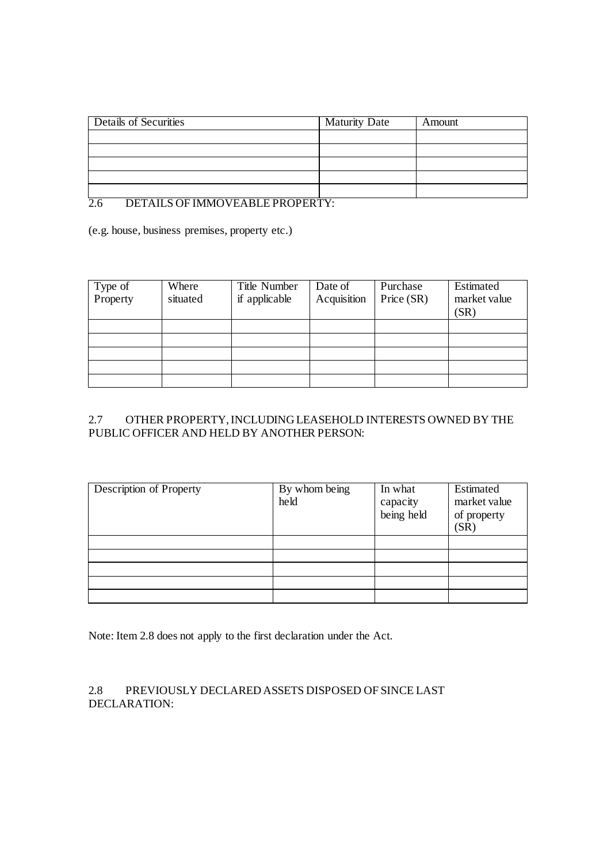| Details of Securities | <b>Maturity Date</b> | Amount |
|-----------------------|----------------------|--------|
|                       |                      |        |
|                       |                      |        |
|                       |                      |        |
|                       |                      |        |
|                       |                      |        |

# 2.6 DETAILS OF IMMOVEABLE PROPERTY:

(e.g. house, business premises, property etc.)

| Type of<br>Property | Where    | Title Number  | Date of     | Purchase   | Estimated    |
|---------------------|----------|---------------|-------------|------------|--------------|
|                     | situated | if applicable | Acquisition | Price (SR) | market value |
|                     |          |               |             |            | (SR)         |
|                     |          |               |             |            |              |
|                     |          |               |             |            |              |
|                     |          |               |             |            |              |
|                     |          |               |             |            |              |
|                     |          |               |             |            |              |

# 2.7 OTHER PROPERTY, INCLUDING LEASEHOLD INTERESTS OWNED BY THE PUBLIC OFFICER AND HELD BY ANOTHER PERSON:

| Description of Property | By whom being<br>held | In what<br>capacity<br>being held | Estimated<br>market value<br>of property<br>(SR) |
|-------------------------|-----------------------|-----------------------------------|--------------------------------------------------|
|                         |                       |                                   |                                                  |
|                         |                       |                                   |                                                  |
|                         |                       |                                   |                                                  |
|                         |                       |                                   |                                                  |
|                         |                       |                                   |                                                  |

Note: Item 2.8 does not apply to the first declaration under the Act.

2.8 PREVIOUSLY DECLARED ASSETS DISPOSED OF SINCE LAST DECLARATION: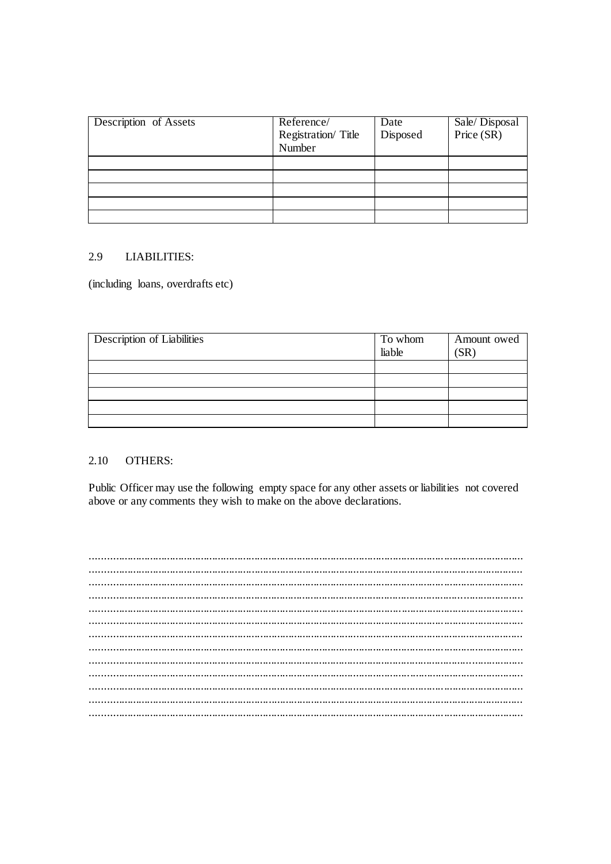| Description of Assets | Reference/<br>Registration/Title<br>Number | Date<br>Disposed | Sale/Disposal<br>Price (SR) |
|-----------------------|--------------------------------------------|------------------|-----------------------------|
|                       |                                            |                  |                             |
|                       |                                            |                  |                             |
|                       |                                            |                  |                             |
|                       |                                            |                  |                             |
|                       |                                            |                  |                             |

#### 2.9 **LIABILITIES:**

(including loans, overdrafts etc)

| <b>Description of Liabilities</b> | To whom<br>liable | Amount owed<br>$S_{\rm R}$ |
|-----------------------------------|-------------------|----------------------------|
|                                   |                   |                            |
|                                   |                   |                            |
|                                   |                   |                            |
|                                   |                   |                            |
|                                   |                   |                            |

#### 2.10 **OTHERS:**

Public Officer may use the following empty space for any other assets or liabilities not covered above or any comments they wish to make on the above declarations.